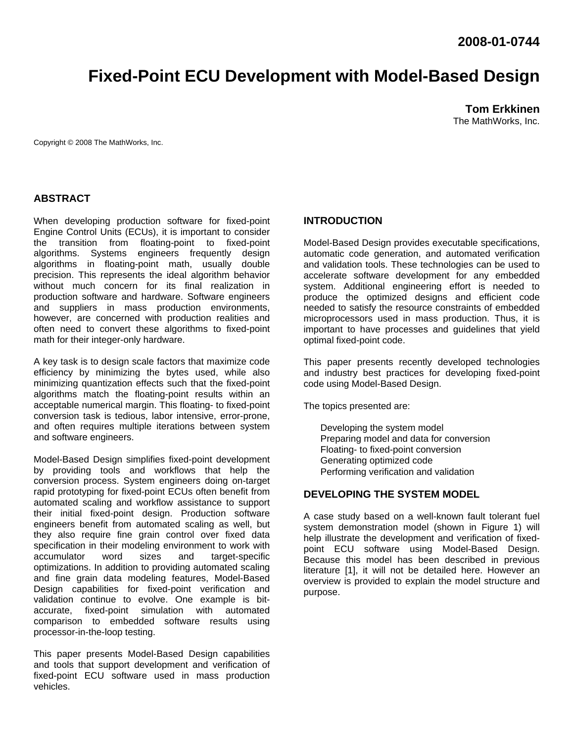# **Fixed-Point ECU Development with Model-Based Design**

**Tom Erkkinen**  The MathWorks, Inc.

Copyright © 2008 The MathWorks, Inc.

# **ABSTRACT**

When developing production software for fixed-point Engine Control Units (ECUs), it is important to consider the transition from floating-point to fixed-point algorithms. Systems engineers frequently design algorithms in floating-point math, usually double precision. This represents the ideal algorithm behavior without much concern for its final realization in production software and hardware. Software engineers and suppliers in mass production environments, however, are concerned with production realities and often need to convert these algorithms to fixed-point math for their integer-only hardware.

A key task is to design scale factors that maximize code efficiency by minimizing the bytes used, while also minimizing quantization effects such that the fixed-point algorithms match the floating-point results within an acceptable numerical margin. This floating- to fixed-point conversion task is tedious, labor intensive, error-prone, and often requires multiple iterations between system and software engineers.

Model-Based Design simplifies fixed-point development by providing tools and workflows that help the conversion process. System engineers doing on-target rapid prototyping for fixed-point ECUs often benefit from automated scaling and workflow assistance to support their initial fixed-point design. Production software engineers benefit from automated scaling as well, but they also require fine grain control over fixed data specification in their modeling environment to work with accumulator word sizes and target-specific optimizations. In addition to providing automated scaling and fine grain data modeling features, Model-Based Design capabilities for fixed-point verification and validation continue to evolve. One example is bitaccurate, fixed-point simulation with automated comparison to embedded software results using processor-in-the-loop testing.

This paper presents Model-Based Design capabilities and tools that support development and verification of fixed-point ECU software used in mass production vehicles.

## **INTRODUCTION**

Model-Based Design provides executable specifications, automatic code generation, and automated verification and validation tools. These technologies can be used to accelerate software development for any embedded system. Additional engineering effort is needed to produce the optimized designs and efficient code needed to satisfy the resource constraints of embedded microprocessors used in mass production. Thus, it is important to have processes and guidelines that yield optimal fixed-point code.

This paper presents recently developed technologies and industry best practices for developing fixed-point code using Model-Based Design.

The topics presented are:

 Developing the system model Preparing model and data for conversion Floating- to fixed-point conversion Generating optimized code Performing verification and validation

# **DEVELOPING THE SYSTEM MODEL**

A case study based on a well-known fault tolerant fuel system demonstration model (shown in Figure 1) will help illustrate the development and verification of fixedpoint ECU software using Model-Based Design. Because this model has been described in previous literature [1], it will not be detailed here. However an overview is provided to explain the model structure and purpose.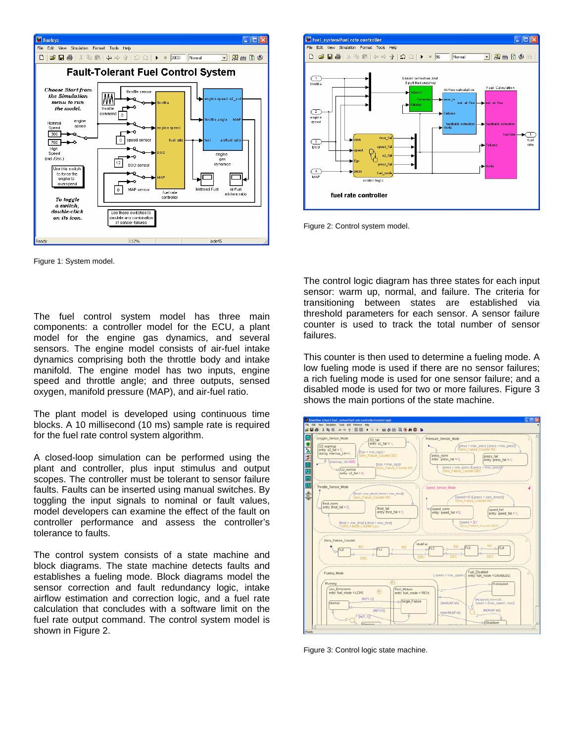

Figure 1: System model.

The fuel control system model has three main components: a controller model for the ECU, a plant model for the engine gas dynamics, and several sensors. The engine model consists of air-fuel intake dynamics comprising both the throttle body and intake manifold. The engine model has two inputs, engine speed and throttle angle; and three outputs, sensed oxygen, manifold pressure (MAP), and air-fuel ratio.

The plant model is developed using continuous time blocks. A 10 millisecond (10 ms) sample rate is required for the fuel rate control system algorithm.

A closed-loop simulation can be performed using the plant and controller, plus input stimulus and output scopes. The controller must be tolerant to sensor failure faults. Faults can be inserted using manual switches. By toggling the input signals to nominal or fault values, model developers can examine the effect of the fault on controller performance and assess the controller's tolerance to faults.

The control system consists of a state machine and block diagrams. The state machine detects faults and establishes a fueling mode. Block diagrams model the sensor correction and fault redundancy logic, intake airflow estimation and correction logic, and a fuel rate calculation that concludes with a software limit on the fuel rate output command. The control system model is shown in Figure 2.



Figure 2: Control system model.

The control logic diagram has three states for each input sensor: warm up, normal, and failure. The criteria for transitioning between states are established via threshold parameters for each sensor. A sensor failure counter is used to track the total number of sensor failures.

This counter is then used to determine a fueling mode. A low fueling mode is used if there are no sensor failures; a rich fueling mode is used for one sensor failure; and a disabled mode is used for two or more failures. Figure 3 shows the main portions of the state machine.



Figure 3: Control logic state machine.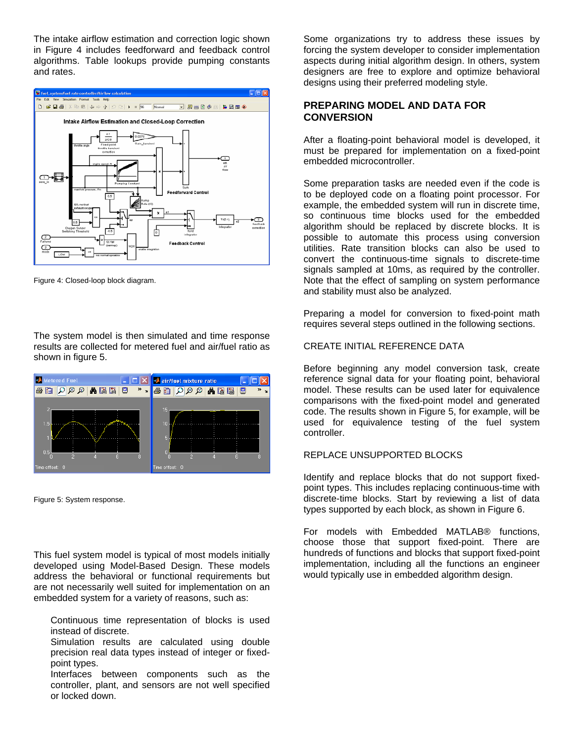The intake airflow estimation and correction logic shown in Figure 4 includes feedforward and feedback control algorithms. Table lookups provide pumping constants and rates.



Figure 4: Closed-loop block diagram.

The system model is then simulated and time response results are collected for metered fuel and air/fuel ratio as shown in figure 5.



Figure 5: System response.

This fuel system model is typical of most models initially developed using Model-Based Design. These models address the behavioral or functional requirements but are not necessarily well suited for implementation on an embedded system for a variety of reasons, such as:

 Continuous time representation of blocks is used instead of discrete.

 Simulation results are calculated using double precision real data types instead of integer or fixedpoint types.

 Interfaces between components such as the controller, plant, and sensors are not well specified or locked down.

Some organizations try to address these issues by forcing the system developer to consider implementation aspects during initial algorithm design. In others, system designers are free to explore and optimize behavioral designs using their preferred modeling style.

# **PREPARING MODEL AND DATA FOR CONVERSION**

After a floating-point behavioral model is developed, it must be prepared for implementation on a fixed-point embedded microcontroller.

Some preparation tasks are needed even if the code is to be deployed code on a floating point processor. For example, the embedded system will run in discrete time, so continuous time blocks used for the embedded algorithm should be replaced by discrete blocks. It is possible to automate this process using conversion utilities. Rate transition blocks can also be used to convert the continuous-time signals to discrete-time signals sampled at 10ms, as required by the controller. Note that the effect of sampling on system performance and stability must also be analyzed.

Preparing a model for conversion to fixed-point math requires several steps outlined in the following sections.

## CREATE INITIAL REFERENCE DATA

Before beginning any model conversion task, create reference signal data for your floating point, behavioral model. These results can be used later for equivalence comparisons with the fixed-point model and generated code. The results shown in Figure 5, for example, will be used for equivalence testing of the fuel system controller.

## REPLACE UNSUPPORTED BLOCKS

Identify and replace blocks that do not support fixedpoint types. This includes replacing continuous-time with discrete-time blocks. Start by reviewing a list of data types supported by each block, as shown in Figure 6.

For models with Embedded MATLAB® functions, choose those that support fixed-point. There are hundreds of functions and blocks that support fixed-point implementation, including all the functions an engineer would typically use in embedded algorithm design.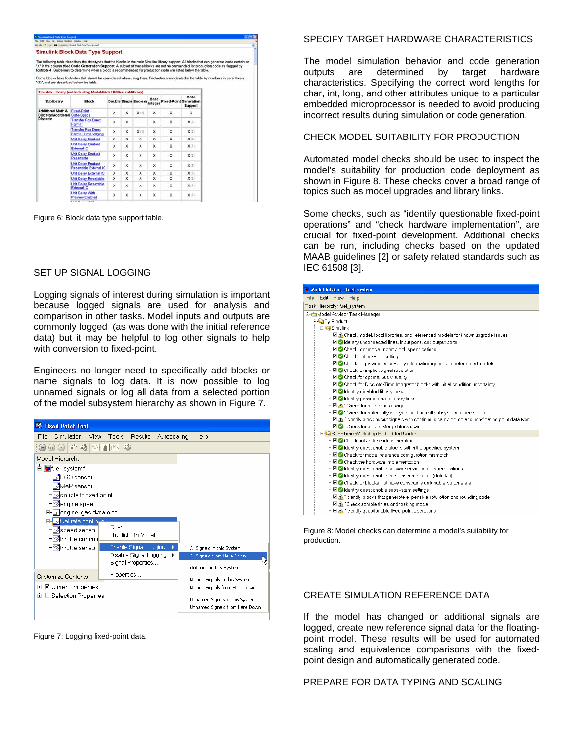|                                                                         | <b>Simulink Block Data Type Support</b>                                                                                                                                                                                                                                                                                                                                                                                                                                                                                                        |   |             |                       |                 |                               |                 |
|-------------------------------------------------------------------------|------------------------------------------------------------------------------------------------------------------------------------------------------------------------------------------------------------------------------------------------------------------------------------------------------------------------------------------------------------------------------------------------------------------------------------------------------------------------------------------------------------------------------------------------|---|-------------|-----------------------|-----------------|-------------------------------|-----------------|
| "(#)", and are described below the table.                               | The following table describes the data types that the blocks in the main Simulink library support. All blocks that can generate code contain an<br>"X" in the column titled Code Generation Support. A subset of these blocks are not recommended for production code as flagged by<br>footnote 4. Guidelines to determine when a block is recommended for production code are listed below the table.<br>Some blocks have footnotes that should be considered when using them. Footnotes are indicated in the table by numbers in parenthesis |   |             |                       |                 |                               |                 |
|                                                                         | Simulink Library (not including Model-Wide Utilities sublibrary)                                                                                                                                                                                                                                                                                                                                                                                                                                                                               |   |             |                       |                 |                               |                 |
| Sublibrary                                                              | <b>Block</b>                                                                                                                                                                                                                                                                                                                                                                                                                                                                                                                                   |   |             | Double Single Boolean | Base<br>Integer | <b>Fixed-Point Generation</b> | Code<br>Support |
| Additional Math & Fixed-Point<br><b>Discrete/Additional State-Space</b> |                                                                                                                                                                                                                                                                                                                                                                                                                                                                                                                                                | x | x           | X(1)                  | x               | х                             | x               |
| <b>Discrete</b>                                                         | <b>Transfer Fon Direct</b><br>Form II                                                                                                                                                                                                                                                                                                                                                                                                                                                                                                          | x | $\mathbf x$ |                       | x               | x                             | X(2)            |
|                                                                         | <b>Transfer Fon Direct</b><br>Form II Time Varving                                                                                                                                                                                                                                                                                                                                                                                                                                                                                             | x | x           | X(1)                  | x               | $\mathbf x$                   | X(2)            |
|                                                                         | <b>Unit Delay Enabled</b>                                                                                                                                                                                                                                                                                                                                                                                                                                                                                                                      | x | x           | $\mathbf x$           | x               | x                             | X(2)            |
|                                                                         | <b>Unit Delay Enabled</b><br>External IC                                                                                                                                                                                                                                                                                                                                                                                                                                                                                                       | x | x           | $\times$              | x               | ×                             | X(2)            |
|                                                                         | <b>Unit Delay Enabled</b><br>Resettable                                                                                                                                                                                                                                                                                                                                                                                                                                                                                                        | x | x           | x                     | ×               | x                             | X(2)            |
|                                                                         | <b>Unit Delay Enabled</b><br>Resettable External IC                                                                                                                                                                                                                                                                                                                                                                                                                                                                                            | x | x           | x                     | x               | x                             | X(2)            |
|                                                                         | Unit Delay External IC                                                                                                                                                                                                                                                                                                                                                                                                                                                                                                                         | x | x           | x                     | x               | x                             | X(2)            |
|                                                                         | <b>Unit Delay Resettable</b>                                                                                                                                                                                                                                                                                                                                                                                                                                                                                                                   | x | x           | $\mathbf x$           | ×               | $\mathbf x$                   | X(2)            |
|                                                                         | Unit Delay Resettable<br>External IC                                                                                                                                                                                                                                                                                                                                                                                                                                                                                                           | x | x           | $\mathsf{x}$          | x               | ×                             | X(2)            |
|                                                                         | Unit Delay With<br><b>Preview Enabled</b>                                                                                                                                                                                                                                                                                                                                                                                                                                                                                                      | x | x           | x                     | x               | x                             | X(2)            |
|                                                                         |                                                                                                                                                                                                                                                                                                                                                                                                                                                                                                                                                |   |             |                       |                 |                               |                 |

Figure 6: Block data type support table.

#### SET UP SIGNAL LOGGING

Logging signals of interest during simulation is important because logged signals are used for analysis and comparison in other tasks. Model inputs and outputs are commonly logged (as was done with the initial reference data) but it may be helpful to log other signals to help with conversion to fixed-point.

Engineers no longer need to specifically add blocks or name signals to log data. It is now possible to log unnamed signals or log all data from a selected portion of the model subsystem hierarchy as shown in Figure 7.



Figure 7: Logging fixed-point data.

#### SPECIFY TARGET HARDWARE CHARACTERISTICS

The model simulation behavior and code generation outputs are determined by target hardware characteristics. Specifying the correct word lengths for char, int, long, and other attributes unique to a particular embedded microprocessor is needed to avoid producing incorrect results during simulation or code generation.

### CHECK MODEL SUITABILITY FOR PRODUCTION

Automated model checks should be used to inspect the model's suitability for production code deployment as shown in Figure 8. These checks cover a broad range of topics such as model upgrades and library links.

Some checks, such as "identify questionable fixed-point operations" and "check hardware implementation", are crucial for fixed-point development. Additional checks can be run, including checks based on the updated MAAB guidelines [2] or safety related standards such as IEC 61508 [3].

| Model Advisor - fuel_system                                                                                                     |
|---------------------------------------------------------------------------------------------------------------------------------|
| Edit View<br>Help<br>File                                                                                                       |
| Task Hierarchy: fuel system                                                                                                     |
| Model Advisor Task Manager                                                                                                      |
| <b>E D</b> <sub>R</sub> By Product                                                                                              |
| E-CaSimulink                                                                                                                    |
| $-\nabla$ A Check model, local libraries, and referenced models for known upgrade issues                                        |
| - Ø Identify unconnected lines, input ports, and output ports                                                                   |
| - Ø Check root model Inport block specifications                                                                                |
| - M Check optimization settings                                                                                                 |
| $\blacksquare$ $\blacksquare$ Check for parameter tunability information ignored for referenced models                          |
| - MIC Check for implicit signal resolution                                                                                      |
| - M Check for optimal bus virtuality                                                                                            |
| $-\nabla$ Check for Discrete-Time Integrator blocks with initial condition uncertainty                                          |
| - M v Identify disabled library links                                                                                           |
| - MI videntify parameterized library links                                                                                      |
| $\vdash \Box \wedge$ ^Check for proper bus usage                                                                                |
| - MO ^ Check for potentially delayed function-call subsystem return values                                                      |
| $-\boxtimes$ $\bigwedge$ ^ldentify block output signals with continuous sample time and non-floating point data type            |
| - Me Oneck for proper Merge block usage                                                                                         |
| Ca Real-Time Workshop Embedded Coder                                                                                            |
| - M Oheck solver for code generation                                                                                            |
| - Ø Ø Identify questionable blocks within the specified system                                                                  |
| - Ø Check for model reference configuration mismatch                                                                            |
| → V Check the hardware implementation                                                                                           |
| → V Identify questionable software environment specifications                                                                   |
| $\blacksquare$ $\blacksquare$ Identify questionable code instrumentation (data I/O)                                             |
| FØ Ø Check for blocks that have constraints on tunable parameters                                                               |
| - Ø dentify questionable subsystem settings                                                                                     |
| $\blacksquare$ $\blacksquare$ $\blacksquare$ $\blacksquare$ and the matrix that qenerate expensive saturation and rounding code |
| $\vdash \Box \wedge$ ^Check sample times and tasking mode                                                                       |
| i ME A ^Identify questionable fixed-point operations                                                                            |

Figure 8: Model checks can determine a model's suitability for production.

## CREATE SIMULATION REFERENCE DATA

If the model has changed or additional signals are logged, create new reference signal data for the floatingpoint model. These results will be used for automated scaling and equivalence comparisons with the fixedpoint design and automatically generated code.

#### PREPARE FOR DATA TYPING AND SCALING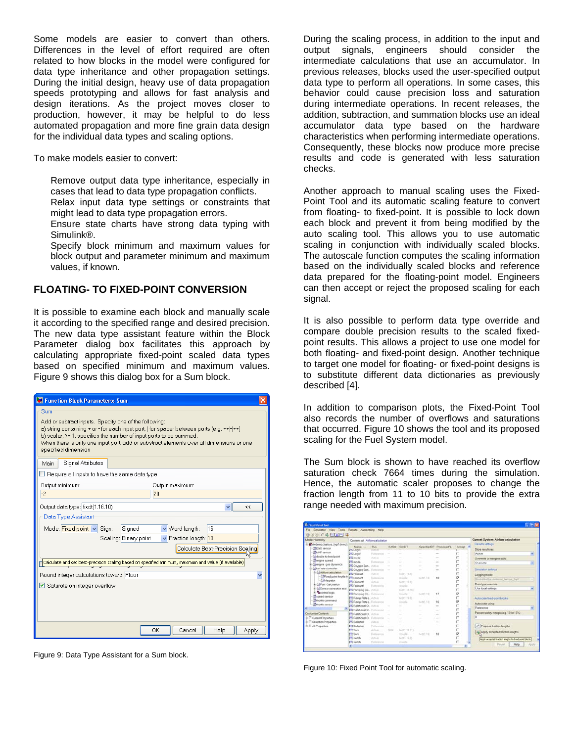Some models are easier to convert than others. Differences in the level of effort required are often related to how blocks in the model were configured for data type inheritance and other propagation settings. During the initial design, heavy use of data propagation speeds prototyping and allows for fast analysis and design iterations. As the project moves closer to production, however, it may be helpful to do less automated propagation and more fine grain data design for the individual data types and scaling options.

To make models easier to convert:

 Remove output data type inheritance, especially in cases that lead to data type propagation conflicts.

 Relax input data type settings or constraints that might lead to data type propagation errors.

 Ensure state charts have strong data typing with Simulink®.

 Specify block minimum and maximum values for block output and parameter minimum and maximum values, if known.

## **FLOATING- TO FIXED-POINT CONVERSION**

It is possible to examine each block and manually scale it according to the specified range and desired precision. The new data type assistant feature within the Block Parameter dialog box facilitates this approach by calculating appropriate fixed-point scaled data types based on specified minimum and maximum values. Figure 9 shows this dialog box for a Sum block.

| Function Block Parameters: Sum                                                                                                                                                                                                                                                                                                                     |
|----------------------------------------------------------------------------------------------------------------------------------------------------------------------------------------------------------------------------------------------------------------------------------------------------------------------------------------------------|
| Sum<br>Add or subtract inputs. Specify one of the following:<br>a) string containing + or - for each input port,   for spacer between ports (e.g. ++ - ++)<br>b) scalar, >= 1, specifies the number of input ports to be summed.<br>When there is only one input port, add or substract elements over all dimensions or one<br>specified dimension |
| Signal Attributes<br>Main                                                                                                                                                                                                                                                                                                                          |
| Require all inputs to have the same data type                                                                                                                                                                                                                                                                                                      |
| Output minimum:<br>Output maximum:                                                                                                                                                                                                                                                                                                                 |
| $-2$<br>20                                                                                                                                                                                                                                                                                                                                         |
| Output data type: fixdt(1,16,10)<br>$\overline{\mathbf{C}}$                                                                                                                                                                                                                                                                                        |
| Data Type Assistant                                                                                                                                                                                                                                                                                                                                |
| Mode: Fixed point v Sign:<br>Signed<br>↓ Word length:<br>16                                                                                                                                                                                                                                                                                        |
| $\vee$ Fraction length: 10<br>Scaling: Binary point                                                                                                                                                                                                                                                                                                |
| Calculate Best-Precision Scaling                                                                                                                                                                                                                                                                                                                   |
| $\Box$ Calculate and set best-precision scaling based on specified minimum, maximum and value (if available)                                                                                                                                                                                                                                       |
| Round integer calculations toward: Floor                                                                                                                                                                                                                                                                                                           |
| Saturate on integer overflow                                                                                                                                                                                                                                                                                                                       |
|                                                                                                                                                                                                                                                                                                                                                    |
|                                                                                                                                                                                                                                                                                                                                                    |
|                                                                                                                                                                                                                                                                                                                                                    |
| OK<br>Cancel<br>Help<br>Apply                                                                                                                                                                                                                                                                                                                      |

Figure 9: Data Type Assistant for a Sum block.

During the scaling process, in addition to the input and output signals, engineers should consider the intermediate calculations that use an accumulator. In previous releases, blocks used the user-specified output data type to perform all operations. In some cases, this behavior could cause precision loss and saturation during intermediate operations. In recent releases, the addition, subtraction, and summation blocks use an ideal accumulator data type based on the hardware characteristics when performing intermediate operations. Consequently, these blocks now produce more precise results and code is generated with less saturation checks.

Another approach to manual scaling uses the Fixed-Point Tool and its automatic scaling feature to convert from floating- to fixed-point. It is possible to lock down each block and prevent it from being modified by the auto scaling tool. This allows you to use automatic scaling in conjunction with individually scaled blocks. The autoscale function computes the scaling information based on the individually scaled blocks and reference data prepared for the floating-point model. Engineers can then accept or reject the proposed scaling for each signal.

It is also possible to perform data type override and compare double precision results to the scaled fixedpoint results. This allows a project to use one model for both floating- and fixed-point design. Another technique to target one model for floating- or fixed-point designs is to substitute different data dictionaries as previously described [4].

In addition to comparison plots, the Fixed-Point Tool also records the number of overflows and saturations that occurred. Figure 10 shows the tool and its proposed scaling for the Fuel System model.

The Sum block is shown to have reached its overflow saturation check 7664 times during the simulation. Hence, the automatic scaler proposes to change the fraction length from 11 to 10 bits to provide the extra range needed with maximum precision.

| File Smulston View Tools Results Autoscaling Help                                                    |                                                                                                            |                                                   |                 |                                        |                           |                        |             |                                                                                                                                          |  |  |
|------------------------------------------------------------------------------------------------------|------------------------------------------------------------------------------------------------------------|---------------------------------------------------|-----------------|----------------------------------------|---------------------------|------------------------|-------------|------------------------------------------------------------------------------------------------------------------------------------------|--|--|
| $000008$ MAPI                                                                                        |                                                                                                            |                                                   |                 |                                        |                           |                        |             |                                                                                                                                          |  |  |
| Model Hierarchi/                                                                                     | Contents of Airflow calculation                                                                            |                                                   |                 |                                        |                           |                        |             | Current System: Airflow calculation                                                                                                      |  |  |
| Minuderno, fuelsys_fupf* (mmo)<br>NGO sensor<br><b>HAAP sensor</b>                                   | Name -<br><b>LEL LINGICI</b><br>IN Logicit                                                                 | Fium<br>72929<br>Rateurin                         |                 | OutSat SmOT                            |                           | SpecifiedDT ProposedFL | Accept A    | Results settings<br>Store results as:<br>Artue                                                                                           |  |  |
| double to fixed point<br><b>Tengine speed</b><br>il-Tolengine gas dynamics                           | Til mode<br>til mode<br><b>IN</b> Oxygen Sen., Active                                                      | $J_{\rm eff}$ that<br>Turkeyera                   | <b>COLLEGE</b>  |                                        | -                         | $\sim$                 |             | Overwrite or merge results:<br>Ousnaths                                                                                                  |  |  |
| <b>Colluel rate controller</b><br>- SAHfow colculation<br>Ford point fireffe to                      | IVI Owners Sen.<br>T#! Product<br><b>NI Product</b>                                                        | <b>Tarbonahim</b><br>Article<br><b>Hafamida</b>   | -               | Tech(T.16.35)<br><b>Black</b>          | $\sim$<br>hup(1.13)       | $\sim$<br>10           | ø           | Simulation settings<br>Logging model<br>Controlled by midlance tuelsye, kight                                                            |  |  |
| - Sylviacentor<br>E-5-Puel Calculation<br>i- <sup>3</sup> >Sansor correction and<br>ii Control logic | <b>IVI</b> Product!<br><b>N</b> Product1<br>IVI Pumping Co., Active                                        | Address<br>Retensive                              |                 | THOU'LTEED<br>timable.<br>Supr1.16.161 |                           |                        |             | Data type override:<br>Use local settings                                                                                                |  |  |
| <b>Expenditure</b><br><b>Thomas</b> command<br>- Churche sansor                                      | <b>III Pumping Co., Reference</b><br><b>IN Flamp Fiate C. Activity</b><br><b>IN</b> Ramp Rate L. Reference |                                                   |                 | double<br>Better 74.25<br>strichlich   | b-207.141<br>factor 1.140 | 17<br>16               | ø<br>Þ      | Autoscele fixed-point blocks<br>Autoscale using                                                                                          |  |  |
|                                                                                                      | <b>T47 Fisintinnal O.</b> Action<br>III Relational O., Fishmood                                            |                                                   | $\sim$          | -                                      | $\sim$<br>-               | -<br>-                 |             | Eleterance                                                                                                                               |  |  |
| Customize Contents<br>E-F: Current Properties                                                        | THE Flatenty and Ch. Arming<br>T47 Relational D. Turnsmore                                                 |                                                   | $\sim$          |                                        | -<br>-                    |                        |             | Percent safety margin (e.g. 10 for 10%).                                                                                                 |  |  |
| L. F. Selection Properties<br>I- El Al Properties                                                    | <b>IVI</b> Selector<br><b>IVI</b> Selector<br>IHI Sium                                                     | Action<br>Ratements<br><b>Actual</b>              | $\sim$<br>718.8 | fact07.1E113                           |                           | $\sim$                 |             | i <sup>n</sup> Propose fraction lengths                                                                                                  |  |  |
|                                                                                                      | T41 Sium<br>IHI qualch<br>IFI switch                                                                       | <b>Fishments</b><br>Actives<br><b>Tarbonski</b> n |                 | christian<br>Fe301.15.25<br>double     | 5-90.181                  | 10                     | p<br>ń<br>n | 42. Apply accepted fraction lengths<br>Apply accepted fraction lengths to fixed-point blocks<br><b>Flavent</b><br>Help<br><b>Pizziki</b> |  |  |

Figure 10: Fixed Point Tool for automatic scaling.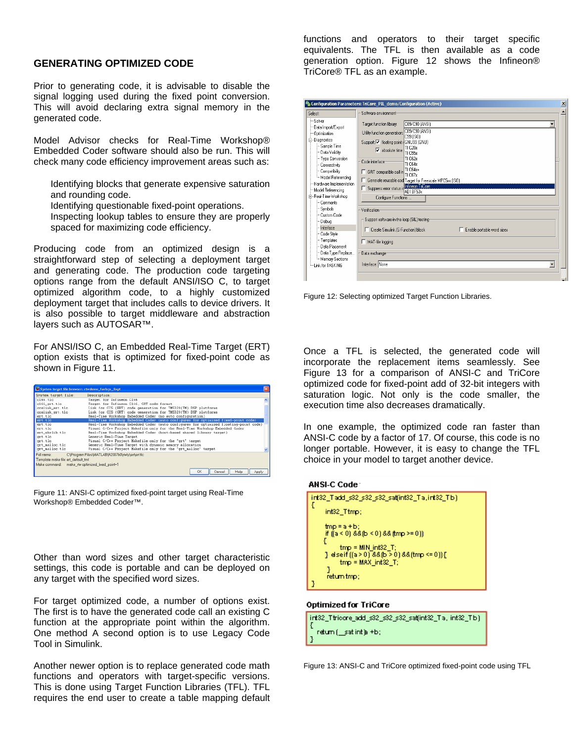## **GENERATING OPTIMIZED CODE**

Prior to generating code, it is advisable to disable the signal logging used during the fixed point conversion. This will avoid declaring extra signal memory in the generated code.

Model Advisor checks for Real-Time Workshop® Embedded Coder software should also be run. This will check many code efficiency improvement areas such as:

- Identifying blocks that generate expensive saturation and rounding code.
- Identifying questionable fixed-point operations.

 Inspecting lookup tables to ensure they are properly spaced for maximizing code efficiency.

Producing code from an optimized design is a straightforward step of selecting a deployment target and generating code. The production code targeting options range from the default ANSI/ISO C, to target optimized algorithm code, to a highly customized deployment target that includes calls to device drivers. It is also possible to target middleware and abstraction layers such as AUTOSAR™.

For ANSI/ISO C, an Embedded Real-Time Target (ERT) option exists that is optimized for fixed-point code as shown in Figure 11.

| System target file browser: rtwdemo_fuelsys_fixpt |                                                                                       |  |
|---------------------------------------------------|---------------------------------------------------------------------------------------|--|
| System target file:                               | Description:                                                                          |  |
| $c166.$ tle                                       | Target for Infineco C166                                                              |  |
| clif grt.tlc                                      | Target for Infinecm C166, GRT code format                                             |  |
| ccslink ert.tlc                                   | Link for CCS (ERT) code generation for TMS320(TM) DSP platforms                       |  |
| coslink grt.tlc                                   | Link for CCS (GRT) code generation for TMS320(TM) DSP platforas                       |  |
| ert.tlc                                           | Real-Time Workshop Embedded Coder (no auto configuration)                             |  |
| ert.tlc                                           | Real-Time Workshop Embedded Coder (auto configures for optimized fixed-point code)    |  |
| ert.tlc                                           | Real-Time Workshop Embedded Coder (auto configures for optimized floating-point code) |  |
| ert.tlc                                           | Visual C/C++ Project Makefile only for the Real-Time Workshop Embedded Coder          |  |
| ert shrlib.tlc                                    | Real-Time Workshop Embedded Coder (host-based shared library target)                  |  |
| grt.tlc                                           | Generic Real-Time Target                                                              |  |
| grt.tlc                                           | Visual C/C++ Project Makefile only for the "grt" target                               |  |
| grt malloc.tlc                                    | Generic Real-Time Target with dynamic memory allocation                               |  |
| grt_malloc.tlc                                    | Visual C/C++ Project Makefile only for the "grt_malloc" target                        |  |
| Full name:                                        | C:\Program Files\MATLAB\R2007b0\rtw\c\erf\ert.tic                                     |  |
| Templote moke file: ert default tmf               |                                                                                       |  |
| Make command: make riw optimized food point-1     |                                                                                       |  |
|                                                   | OK<br>Help<br>Cancel<br>Apph                                                          |  |

Figure 11: ANSI-C optimized fixed-point target using Real-Time Workshop® Embedded Coder™.

Other than word sizes and other target characteristic settings, this code is portable and can be deployed on any target with the specified word sizes.

For target optimized code, a number of options exist. The first is to have the generated code call an existing C function at the appropriate point within the algorithm. One method A second option is to use Legacy Code Tool in Simulink.

Another newer option is to replace generated code math functions and operators with target-specific versions. This is done using Target Function Libraries (TFL). TFL requires the end user to create a table mapping default functions and operators to their target specific equivalents. The TFL is then available as a code generation option. Figure 12 shows the Infineon® TriCore® TFL as an example.

| Select:                                        | Software environment:                                                              |                          |
|------------------------------------------------|------------------------------------------------------------------------------------|--------------------------|
| -Solver<br>-- Data Import/Export               | C89/C90 (ANSI)<br>Target function library:                                         |                          |
| - Optimization                                 | C89/C90 (ANSI)<br>Utility function generation:<br>C99 (ISO)                        |                          |
| i <sup>≐</sup> l-Diagnostics<br>⊸Sample Time   | Support: Ø floating-point   GNU99 (GNU)                                            |                          |
| - Data Validity                                | TI C28x<br>$\overline{\triangledown}$ absolute time $\overline{\parallel}$ TI C55x |                          |
| - Type Conversion<br>- Connectivity            | TI C62x<br>Code interface-<br>TI C64x                                              |                          |
| - Compatibility                                | TI C64x+<br>GRT compatible call in<br>TI C67x                                      |                          |
| Model Referencing<br>- Hardware Implementation | Generate reusable cod Target for Freescale MPC5xx (ISO)<br>┍                       |                          |
| Model Referencing                              | Suppress error status in Infineon TriCore<br>ADI BF53x                             |                          |
| Ė⊢Real-Time Workshop<br>⊶ Comments             | Configure Functions                                                                |                          |
| — Symbols                                      | Verification:                                                                      |                          |
| - Custom Code<br>— Debua                       | Support software-in-the-loop (SIL) testing-                                        |                          |
| Interface                                      | □ Create Simulink (S-Function) block<br>Enable portable word sizes                 |                          |
| - Code Style                                   |                                                                                    |                          |
| i Templates                                    | MAT-file logging                                                                   |                          |
| -- Data Placement                              |                                                                                    |                          |
| - Data Type Replace                            | Data exchange:                                                                     |                          |
| Memory Sections<br>-Link for TASKING           | Interface: None                                                                    | $\overline{\phantom{a}}$ |
|                                                |                                                                                    |                          |

Figure 12: Selecting optimized Target Function Libraries.

Once a TFL is selected, the generated code will incorporate the replacement items seamlessly. See Figure 13 for a comparison of ANSI-C and TriCore optimized code for fixed-point add of 32-bit integers with saturation logic. Not only is the code smaller, the execution time also decreases dramatically.

In one example, the optimized code ran faster than ANSI-C code by a factor of 17. Of course, this code is no longer portable. However, it is easy to change the TFL choice in your model to target another device.

#### **ANSI-C Code**



#### **Optimized for TriCore**

| int32_Ttricore_add_s32_s32_s32_sat(int32_Ta, int32_Tb) |
|--------------------------------------------------------|
| return (__sat int )a +b;                               |
|                                                        |

Figure 13: ANSI-C and TriCore optimized fixed-point code using TFL